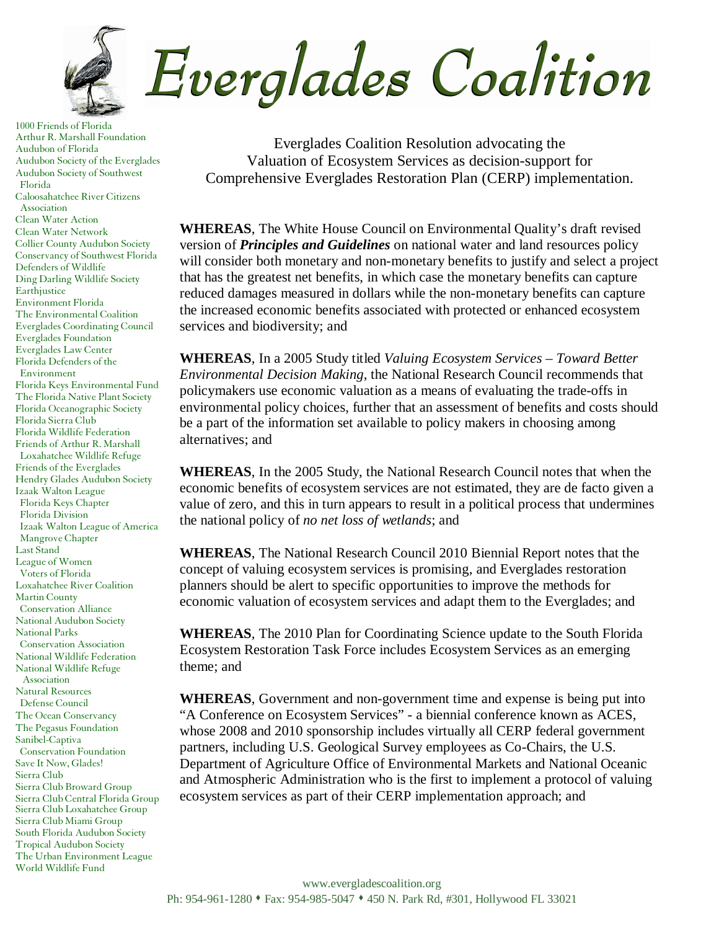

1000 Friends of Florida Arthur R. Marshall Foundation Audubon of Florida Audubon Society of the Everglades Audubon Society of Southwest Florida Caloosahatchee River Citizens Association Clean Water Action Clean Water Network Collier County Audubon Society Conservancy of Southwest Florida Defenders of Wildlife Ding Darling Wildlife Society **Earthjustice** Environment Florida The Environmental Coalition Everglades Coordinating Council Everglades Foundation Everglades Law Center Florida Defenders of the Environment Florida Keys Environmental Fund The Florida Native Plant Society Florida Oceanographic Society Florida Sierra Club Florida Wildlife Federation Friends of Arthur R. Marshall Loxahatchee Wildlife Refuge Friends of the Everglades Hendry Glades Audubon Society Izaak Walton League Florida Keys Chapter Florida Division Izaak Walton League of America Mangrove Chapter Last Stand League of Women Voters of Florida Loxahatchee River Coalition Martin County Conservation Alliance National Audubon Society National Parks Conservation Association National Wildlife Federation National Wildlife Refuge Association Natural Resources Defense Council The Ocean Conservancy The Pegasus Foundation Sanibel-Captiva Conservation Foundation Save It Now, Glades! Sierra Club Sierra Club Broward Group Sierra Club Central Florida Group Sierra Club Loxahatchee Group Sierra Club Miami Group South Florida Audubon Society Tropical Audubon Society The Urban Environment League World Wildlife Fund

Everglades Coalition Resolution advocating the Valuation of Ecosystem Services as decision-support for Comprehensive Everglades Restoration Plan (CERP) implementation.

**WHEREAS**, The White House Council on Environmental Quality's draft revised version of *Principles and Guidelines* on national water and land resources policy will consider both monetary and non-monetary benefits to justify and select a project that has the greatest net benefits, in which case the monetary benefits can capture reduced damages measured in dollars while the non-monetary benefits can capture the increased economic benefits associated with protected or enhanced ecosystem services and biodiversity; and

**WHEREAS**, In a 2005 Study titled *Valuing Ecosystem Services – Toward Better Environmental Decision Making*, the National Research Council recommends that policymakers use economic valuation as a means of evaluating the trade-offs in environmental policy choices, further that an assessment of benefits and costs should be a part of the information set available to policy makers in choosing among alternatives; and

**WHEREAS**, In the 2005 Study, the National Research Council notes that when the economic benefits of ecosystem services are not estimated, they are de facto given a value of zero, and this in turn appears to result in a political process that undermines the national policy of *no net loss of wetlands*; and

**WHEREAS**, The National Research Council 2010 Biennial Report notes that the concept of valuing ecosystem services is promising, and Everglades restoration planners should be alert to specific opportunities to improve the methods for economic valuation of ecosystem services and adapt them to the Everglades; and

**WHEREAS**, The 2010 Plan for Coordinating Science update to the South Florida Ecosystem Restoration Task Force includes Ecosystem Services as an emerging theme; and

**WHEREAS**, Government and non-government time and expense is being put into "A Conference on Ecosystem Services" - a biennial conference known as ACES, whose 2008 and 2010 sponsorship includes virtually all CERP federal government partners, including U.S. Geological Survey employees as Co-Chairs, the U.S. Department of Agriculture Office of Environmental Markets and National Oceanic and Atmospheric Administration who is the first to implement a protocol of valuing ecosystem services as part of their CERP implementation approach; and